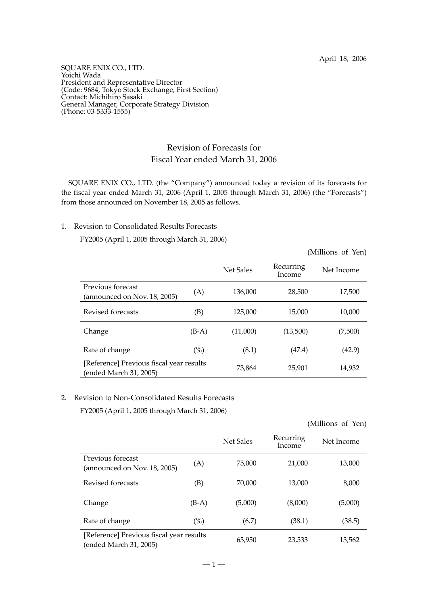SQUARE ENIX CO., LTD. Yoichi Wada President and Representative Director (Code: 9684, Tokyo Stock Exchange, First Section) Contact: Michihiro Sasaki General Manager, Corporate Strategy Division (Phone: 03-5333-1555)

## Revision of Forecasts for Fiscal Year ended March 31, 2006

SQUARE ENIX CO., LTD. (the "Company") announced today a revision of its forecasts for the fiscal year ended March 31, 2006 (April 1, 2005 through March 31, 2006) (the "Forecasts") from those announced on November 18, 2005 as follows.

## 1. Revision to Consolidated Results Forecasts

FY2005 (April 1, 2005 through March 31, 2006)

(Millions of Yen)

|                                                                   |         | Net Sales | Recurring<br>Income | Net Income |
|-------------------------------------------------------------------|---------|-----------|---------------------|------------|
| Previous forecast<br>(announced on Nov. 18, 2005)                 | (A)     | 136,000   | 28,500              | 17,500     |
| Revised forecasts                                                 | (B)     | 125,000   | 15,000              | 10,000     |
| Change                                                            | $(B-A)$ | (11,000)  | (13,500)            | (7,500)    |
| Rate of change                                                    | (%)     | (8.1)     | (47.4)              | (42.9)     |
| [Reference] Previous fiscal year results<br>ended March 31, 2005) |         | 73,864    | 25,901              | 14,932     |

## 2. Revision to Non-Consolidated Results Forecasts

FY2005 (April 1, 2005 through March 31, 2006)

| (Millions of Yen) |  |  |
|-------------------|--|--|
|-------------------|--|--|

|                                                                    |         | Net Sales | Recurring<br>Income | Net Income |
|--------------------------------------------------------------------|---------|-----------|---------------------|------------|
| Previous forecast<br>(announced on Nov. 18, 2005)                  | (A)     | 75,000    | 21,000              | 13,000     |
| Revised forecasts                                                  | (B)     | 70,000    | 13,000              | 8,000      |
| Change                                                             | $(B-A)$ | (5,000)   | (8,000)             | (5,000)    |
| Rate of change                                                     | $(\%)$  | (6.7)     | (38.1)              | (38.5)     |
| [Reference] Previous fiscal year results<br>(ended March 31, 2005) |         | 63,950    | 23,533              | 13,562     |

 $-1-$